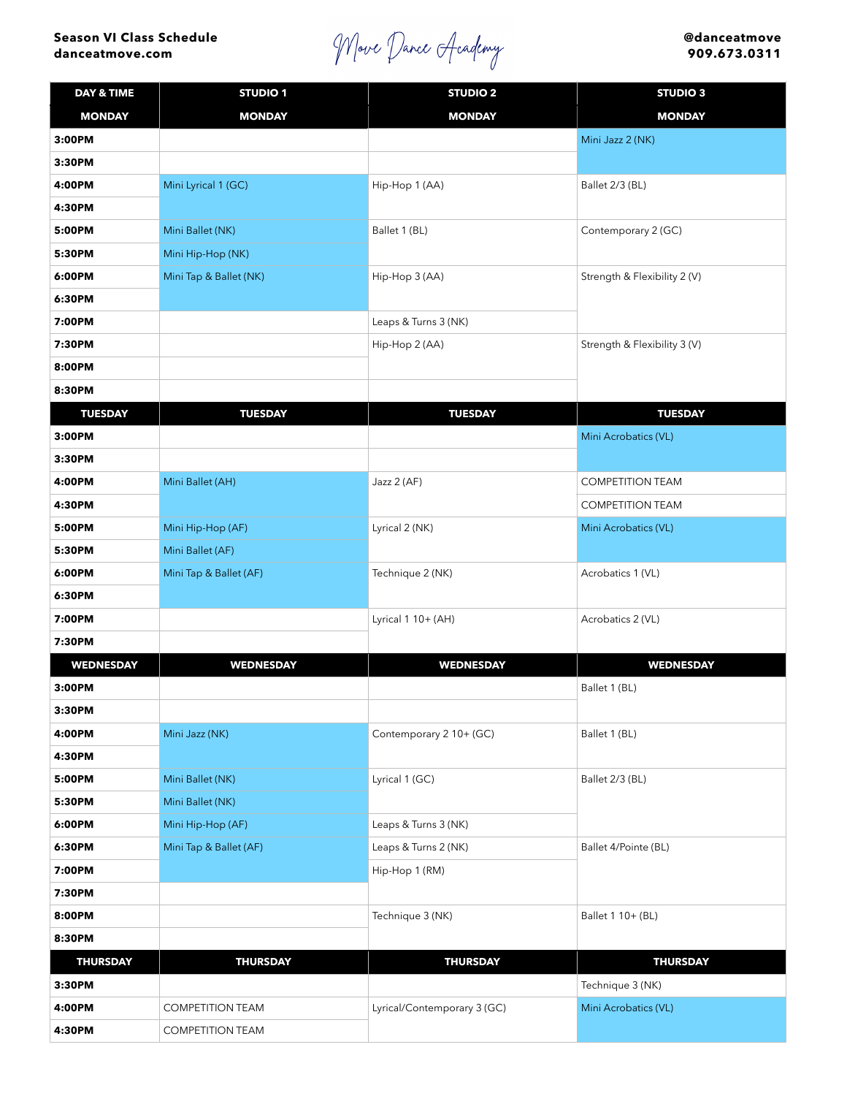## **Season VI Class Schedule danceatmove.com**

Move Dance Academy

**@danceatmove 909.673.0311**

| <b>DAY &amp; TIME</b> | <b>STUDIO1</b>          | <b>STUDIO 2</b>             | <b>STUDIO 3</b>              |
|-----------------------|-------------------------|-----------------------------|------------------------------|
| <b>MONDAY</b>         | <b>MONDAY</b>           | <b>MONDAY</b>               | <b>MONDAY</b>                |
| 3:00PM                |                         |                             | Mini Jazz 2 (NK)             |
| 3:30PM                |                         |                             |                              |
| 4:00PM                | Mini Lyrical 1 (GC)     | Hip-Hop 1 (AA)              | Ballet 2/3 (BL)              |
| 4:30PM                |                         |                             |                              |
| 5:00PM                | Mini Ballet (NK)        | Ballet 1 (BL)               | Contemporary 2 (GC)          |
| 5:30PM                | Mini Hip-Hop (NK)       |                             |                              |
| 6:00PM                | Mini Tap & Ballet (NK)  | Hip-Hop 3 (AA)              | Strength & Flexibility 2 (V) |
| 6:30PM                |                         |                             |                              |
| 7:00PM                |                         | Leaps & Turns 3 (NK)        |                              |
| 7:30PM                |                         | Hip-Hop 2 (AA)              | Strength & Flexibility 3 (V) |
| 8:00PM                |                         |                             |                              |
| 8:30PM                |                         |                             |                              |
| <b>TUESDAY</b>        | <b>TUESDAY</b>          | <b>TUESDAY</b>              | <b>TUESDAY</b>               |
| 3:00PM                |                         |                             | Mini Acrobatics (VL)         |
| 3:30PM                |                         |                             |                              |
| 4:00PM                | Mini Ballet (AH)        | Jazz 2 (AF)                 | <b>COMPETITION TEAM</b>      |
| 4:30PM                |                         |                             | <b>COMPETITION TEAM</b>      |
| 5:00PM                | Mini Hip-Hop (AF)       | Lyrical 2 (NK)              | Mini Acrobatics (VL)         |
| 5:30PM                | Mini Ballet (AF)        |                             |                              |
| 6:00PM                | Mini Tap & Ballet (AF)  | Technique 2 (NK)            | Acrobatics 1 (VL)            |
| 6:30PM                |                         |                             |                              |
| 7:00PM                |                         | Lyrical $1 10+ (AH)$        | Acrobatics 2 (VL)            |
| 7:30PM                |                         |                             |                              |
| <b>WEDNESDAY</b>      | <b>WEDNESDAY</b>        | <b>WEDNESDAY</b>            | <b>WEDNESDAY</b>             |
| 3:00PM                |                         |                             | Ballet 1 (BL)                |
| 3:30PM                |                         |                             |                              |
| 4:00PM                | Mini Jazz (NK)          | Contemporary 2 10+ (GC)     | Ballet 1 (BL)                |
| 4:30PM                |                         |                             |                              |
| 5:00PM                | Mini Ballet (NK)        | Lyrical 1 (GC)              | Ballet 2/3 (BL)              |
| 5:30PM                | Mini Ballet (NK)        |                             |                              |
| 6:00PM                | Mini Hip-Hop (AF)       | Leaps & Turns 3 (NK)        |                              |
| 6:30PM                | Mini Tap & Ballet (AF)  | Leaps & Turns 2 (NK)        | Ballet 4/Pointe (BL)         |
| 7:00PM                |                         | Hip-Hop 1 (RM)              |                              |
| 7:30PM                |                         |                             |                              |
| 8:00PM                |                         | Technique 3 (NK)            | Ballet 1 10+ (BL)            |
| 8:30PM                |                         |                             |                              |
| <b>THURSDAY</b>       | <b>THURSDAY</b>         | <b>THURSDAY</b>             | <b>THURSDAY</b>              |
| 3:30PM                |                         |                             | Technique 3 (NK)             |
| 4:00PM                | <b>COMPETITION TEAM</b> | Lyrical/Contemporary 3 (GC) | Mini Acrobatics (VL)         |
| 4:30PM                | <b>COMPETITION TEAM</b> |                             |                              |